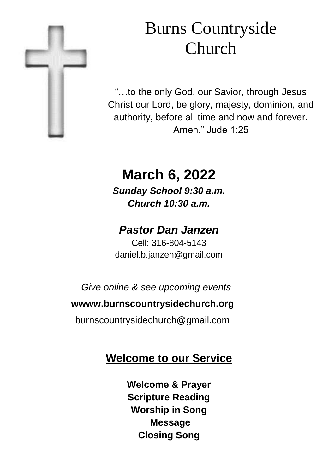

# Burns Countryside Church

"…to the only God, our Savior, through Jesus Christ our Lord, be glory, majesty, dominion, and authority, before all time and now and forever. Amen." Jude 1:25

## **March 6, 2022**

*Sunday School 9:30 a.m. Church 10:30 a.m.*

### *Pastor Dan Janzen*

Cell: 316-804-5143 daniel.b.janzen@gmail.com

*Give online & see upcoming events*

#### **wwww.burnscountrysidechurch.org**

burnscountrysidechurch@gmail.com

### **Welcome to our Service**

**Welcome & Prayer Scripture Reading Worship in Song Message Closing Song**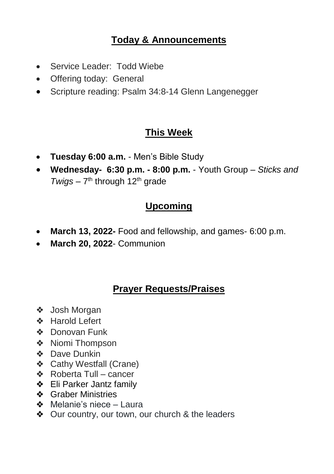#### **Today & Announcements**

- Service Leader: Todd Wiebe
- Offering today: General
- Scripture reading: Psalm 34:8-14 Glenn Langenegger

#### **This Week**

- **Tuesday 6:00 a.m.**  Men's Bible Study
- **Wednesday- 6:30 p.m. - 8:00 p.m.**  Youth Group *Sticks and*  Twigs – 7<sup>th</sup> through 12<sup>th</sup> grade

#### **Upcoming**

- **March 13, 2022-** Food and fellowship, and games- 6:00 p.m.
- **March 20, 2022** Communion

#### **Prayer Requests/Praises**

- ❖ Josh Morgan
- ❖ Harold Lefert
- ❖ Donovan Funk
- ❖ Niomi Thompson
- ❖ Dave Dunkin
- ❖ Cathy Westfall (Crane)
- ❖ Roberta Tull cancer
- ❖ Eli Parker Jantz family
- ❖ Graber Ministries
- ❖ Melanie's niece Laura
- ❖ Our country, our town, our church & the leaders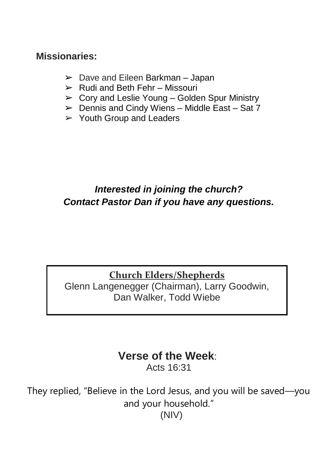#### **Missionaries:**

- $\geq$  Dave and Eileen Barkman Japan
- $\triangleright$  Rudi and Beth Fehr Missouri
- $\triangleright$  Cory and Leslie Young Golden Spur Ministry
- $\triangleright$  Dennis and Cindy Wiens Middle East Sat 7
- $\triangleright$  Youth Group and Leaders

#### *Interested in joining the church? Contact Pastor Dan if you have any questions.*

#### **Church Elders/Shepherds** Glenn Langenegger (Chairman), Larry Goodwin, Dan Walker, Todd Wiebe

## **Verse of the Week**:

Acts 16:31

They replied, "Believe in the Lord Jesus, and you will be saved—you and your household." (NIV)